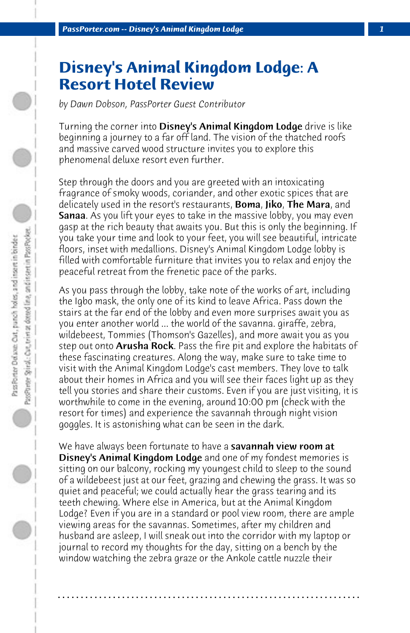## **Disney's Animal Kingdom Lodge: A Resort Hotel Review**

*by Dawn Dobson, PassPorter Guest Contributor*

Turning the corner into **Disney's Animal Kingdom Lodge** drive is like beginning a journey to a far off land. The vision of the thatched roofs and massive carved wood structure invites you to explore this phenomenal deluxe resort even further.

Step through the doors and you are greeted with an intoxicating fragrance of smoky woods, coriander, and other exotic spices that are delicately used in the resort's restaurants, Boma, Jiko, The Mara, and Sanaa. As you lift your eyes to take in the massive lobby, you may even gasp at the rich beauty that awaits you. But this is only the beginning. If you take your time and look to your feet, you will see beautiful, intricate floors, inset with medallions. Disney's Animal Kingdom Lodge lobby is filled with comfortable furniture that invites you to relax and enjoy the peaceful retreat from the frenetic pace of the parks.

As you pass through the lobby, take note of the works of art, including the Igbo mask, the only one of its kind to leave Africa. Pass down the stairs at the far end of the lobby and even more surprises await you as you enter another world ... the world of the savanna. giraffe, zebra, wildebeest, Tommies (Thomson's Gazelles), and more await you as you step out onto Arusha Rock. Pass the fire pit and explore the habitats of these fascinating creatures. Along the way, make sure to take time to visit with the Animal Kingdom Lodge's cast members. They love to talk about their homes in Africa and you will see their faces light up as they tell you stories and share their customs. Even if you are just visiting, it is worthwhile to come in the evening, around 10:00 pm (check with the resort for times) and experience the savannah through night vision goggles. It is astonishing what can be seen in the dark.

We have always been fortunate to have a savannah view room at Disney's Animal Kingdom Lodge and one of my fondest memories is sitting on our balcony, rocking my youngest child to sleep to the sound of a wildebeest just at our feet, grazing and chewing the grass. It was so quiet and peaceful; we could actually hear the grass tearing and its teeth chewing. Where else in America, but at the Animal Kingdom Lodge? Even if you are in a standard or pool view room, there are ample viewing areas for the savannas. Sometimes, after my children and husband are asleep, I will sneak out into the corridor with my laptop or journal to record my thoughts for the day, sitting on a bench by the window watching the zebra graze or the Ankole cattle nuzzle their

**. . . . . . . . . . . . . . . . . . . . . . . . . . . . . . . . . . . . . . . . . . . . . . . . . . . . . . . . . . . . . . . . . .**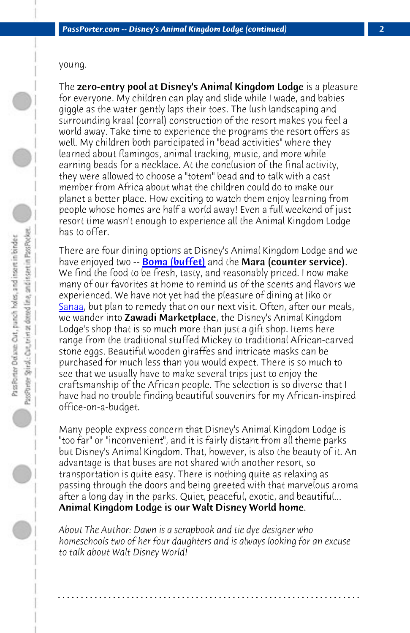young.

The zero-entry pool at Disney's Animal Kingdom Lodge is a pleasure for everyone. My children can play and slide while I wade, and babies giggle as the water gently laps their toes. The lush landscaping and [surrou](http://www.passporter.com/articles/sanaa-dining-review.html)nding kraal (corral) construction of the resort makes you feel a world away. Take time to experience the programs the resort offers as well. My children both participated in "bead activities" where they learned about flamingos, animal tracking, music, and more while earning beads for a necklace. At the conclusion of the final activity, they were allowed to choose a "totem" bead and to talk with a cast member from Africa about what the children could do to make our planet a better place. How exciting to watch them enjoy learning from people whose homes are half a world away! Even a full weekend of just resort time wasn't enough to experience all the Animal Kingdom Lodge has to offer.

There are four dining options at Disney's Animal Kingdom Lodge and we have enjoyed two -- **Boma (buffet)** and the **Mara (counter service)**. We find the food to be fresh, tasty, and reasonably priced. I now make many of our favorites at home to remind us of the scents and flavors we experienced. We have not yet had the pleasure of dining at Jiko or Sanaa, but plan to remedy that on our next visit. Often, after our meals, we wander into **Zawadi Marketplace**, the Disney's Animal Kingdom Lodge's shop that is so much more than just a gift shop. Items here range from the traditional stuffed Mickey to traditional African-carved stone eggs. Beautiful wooden giraffes and intricate masks can be purchased for much less than you would expect. There is so much to see that we usually have to make several trips just to enjoy the craftsmanship of the African people. The selection is so diverse that I have had no trouble finding beautiful souvenirs for my African-inspired office-on-a-budget.

Many people express concern that Disney's Animal Kingdom Lodge is "too far" or "inconvenient", and it is fairly distant from all theme parks but Disney's Animal Kingdom. That, however, is also the beauty of it. An advantage is that buses are not shared with another resort, so transportation is quite easy. There is nothing quite as relaxing as passing through the doors and being greeted with that marvelous aroma after a long day in the parks. Quiet, peaceful, exotic, and beautiful... Animal Kingdom Lodge is our Walt Disney World home.

*About The Author: Dawn is a scrapbook and tie dye designer who homeschools two of her four daughters and is always looking for an excuse to talk about Walt Disney World!*

**. . . . . . . . . . . . . . . . . . . . . . . . . . . . . . . . . . . . . . . . . . . . . . . . . . . . . . . . . . . . . . . . . .**